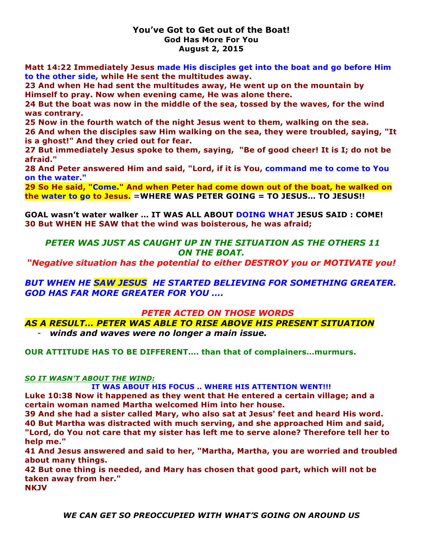### **You've Got to Get out of the Boat! God Has More For You August 2, 2015**

**Matt 14:22 Immediately Jesus made His disciples get into the boat and go before Him to the other side, while He sent the multitudes away.** 

**23 And when He had sent the multitudes away, He went up on the mountain by Himself to pray. Now when evening came, He was alone there.** 

**24 But the boat was now in the middle of the sea, tossed by the waves, for the wind was contrary.** 

**25 Now in the fourth watch of the night Jesus went to them, walking on the sea.** 

**26 And when the disciples saw Him walking on the sea, they were troubled, saying, "It is a ghost!" And they cried out for fear.** 

**27 But immediately Jesus spoke to them, saying, "Be of good cheer! It is I; do not be afraid."** 

**28 And Peter answered Him and said, "Lord, if it is You, command me to come to You on the water."** 

**29 So He said, "Come." And when Peter had come down out of the boat, he walked on the water to go to Jesus. =WHERE WAS PETER GOING = TO JESUS… TO JESUS!!**

**GOAL wasn't water walker … IT WAS ALL ABOUT DOING WHAT JESUS SAID : COME! 30 But WHEN HE SAW that the wind was boisterous, he was afraid;** 

# *PETER WAS JUST AS CAUGHT UP IN THE SITUATION AS THE OTHERS 11 ON THE BOAT.*

*"Negative situation has the potential to either DESTROY you or MOTIVATE you!*

*BUT WHEN HE SAW JESUS HE STARTED BELIEVING FOR SOMETHING GREATER. GOD HAS FAR MORE GREATER FOR YOU ….*

*PETER ACTED ON THOSE WORDS*

*AS A RESULT… PETER WAS ABLE TO RISE ABOVE HIS PRESENT SITUATION*

- *winds and waves were no longer a main issue.*

**OUR ATTITUDE HAS TO BE DIFFERENT…. than that of complainers…murmurs.**

# *SO IT WASN'T ABOUT THE WIND:*

**IT WAS ABOUT HIS FOCUS .. WHERE HIS ATTENTION WENT!!!**

**Luke 10:38 Now it happened as they went that He entered a certain village; and a certain woman named Martha welcomed Him into her house.** 

**39 And she had a sister called Mary, who also sat at Jesus' feet and heard His word. 40 But Martha was distracted with much serving, and she approached Him and said, "Lord, do You not care that my sister has left me to serve alone? Therefore tell her to help me."** 

**41 And Jesus answered and said to her, "Martha, Martha, you are worried and troubled about many things.** 

**42 But one thing is needed, and Mary has chosen that good part, which will not be taken away from her."** 

**NKJV**